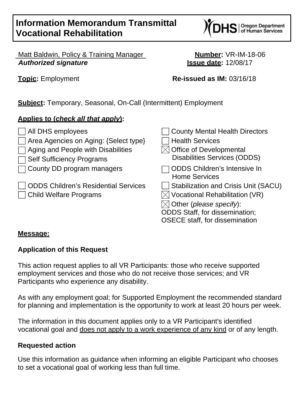# **Information Memorandum Transmittal Vocational Rehabilitation**



 Matt Baldwin, Policy & Training Manager **Number:** VR-IM-18-06 *Authorized signature* **Issue date:** 12/08/17

**Topic:** Employment **Re-issued as IM:** 03/16/18

**Subject:** Temporary, Seasonal, On-Call (Intermittent) Employment

### **Applies to (***check all that apply***):**

| All DHS employees                           | <b>County Mental Health Directors</b>                       |
|---------------------------------------------|-------------------------------------------------------------|
| Area Agencies on Aging: {Select type}       | <b>Health Services</b>                                      |
| Aging and People with Disabilities          | $\times$ Office of Developmental                            |
| <b>Self Sufficiency Programs</b>            | <b>Disabilities Services (ODDS)</b>                         |
| County DD program managers                  | <b>ODDS Children's Intensive In</b><br><b>Home Services</b> |
| <b>ODDS Children's Residential Services</b> | <b>Stabilization and Crisis Unit (SACU)</b>                 |
| <b>Child Welfare Programs</b>               | $\times$ Vocational Rehabilitation (VR)                     |
|                                             | $\boxtimes$ Other (please specify):                         |
|                                             | <b>ODDS Staff, for dissemination;</b>                       |
|                                             | <b>OSECE staff, for dissemination</b>                       |

#### **Message:**

# **Application of this Request**

This action request applies to all VR Participants: those who receive supported employment services and those who do not receive those services; and VR Participants who experience any disability.

As with any employment goal; for Supported Employment the recommended standard for planning and implementation is the opportunity to work at least 20 hours per week.

The information in this document applies only to a VR Participant's identified vocational goal and does not apply to a work experience of any kind or of any length.

#### **Requested action**

Use this information as guidance when informing an eligible Participant who chooses to set a vocational goal of working less than full time.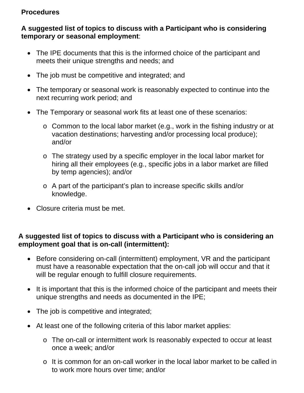### **Procedures**

### **A suggested list of topics to discuss with a Participant who is considering temporary or seasonal employment**:

- The IPE documents that this is the informed choice of the participant and meets their unique strengths and needs; and
- The job must be competitive and integrated; and
- The temporary or seasonal work is reasonably expected to continue into the next recurring work period; and
- The Temporary or seasonal work fits at least one of these scenarios:
	- o Common to the local labor market (e.g., work in the fishing industry or at vacation destinations; harvesting and/or processing local produce); and/or
	- o The strategy used by a specific employer in the local labor market for hiring all their employees (e.g., specific jobs in a labor market are filled by temp agencies); and/or
	- o A part of the participant's plan to increase specific skills and/or knowledge.
- Closure criteria must be met.

### **A suggested list of topics to discuss with a Participant who is considering an employment goal that is on-call (intermittent):**

- Before considering on-call (intermittent) employment, VR and the participant must have a reasonable expectation that the on-call job will occur and that it will be regular enough to fulfill closure requirements.
- It is important that this is the informed choice of the participant and meets their unique strengths and needs as documented in the IPE;
- The job is competitive and integrated;
- At least one of the following criteria of this labor market applies:
	- o The on-call or intermittent work Is reasonably expected to occur at least once a week; and/or
	- o It is common for an on-call worker in the local labor market to be called in to work more hours over time; and/or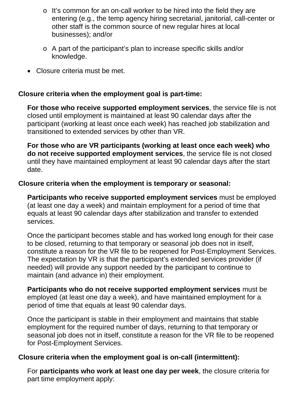- o It's common for an on-call worker to be hired into the field they are entering (e.g., the temp agency hiring secretarial, janitorial, call-center or other staff is the common source of new regular hires at local businesses); and/or
- o A part of the participant's plan to increase specific skills and/or knowledge.
- Closure criteria must be met.

#### **Closure criteria when the employment goal is part-time:**

**For those who receive supported employment services**, the service file is not closed until employment is maintained at least 90 calendar days after the participant (working at least once each week) has reached job stabilization and transitioned to extended services by other than VR.

**For those who are VR participants (working at least once each week) who do not receive supported employment services**, the service file is not closed until they have maintained employment at least 90 calendar days after the start date.

#### **Closure criteria when the employment is temporary or seasonal:**

**Participants who receive supported employment services** must be employed (at least one day a week) and maintain employment for a period of time that equals at least 90 calendar days after stabilization and transfer to extended services.

Once the participant becomes stable and has worked long enough for their case to be closed, returning to that temporary or seasonal job does not in itself, constitute a reason for the VR file to be reopened for Post-Employment Services. The expectation by VR is that the participant's extended services provider (if needed) will provide any support needed by the participant to continue to maintain (and advance in) their employment.

**Participants who do not receive supported employment services** must be employed (at least one day a week), and have maintained employment for a period of time that equals at least 90 calendar days.

Once the participant is stable in their employment and maintains that stable employment for the required number of days, returning to that temporary or seasonal job does not in itself, constitute a reason for the VR file to be reopened for Post-Employment Services.

#### **Closure criteria when the employment goal is on-call (intermittent):**

For **participants who work at least one day per week**, the closure criteria for part time employment apply: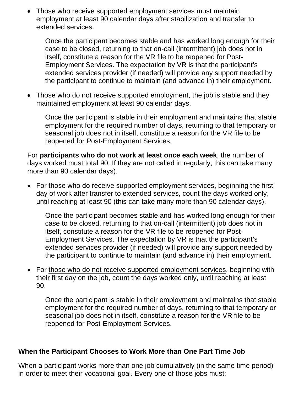• Those who receive supported employment services must maintain employment at least 90 calendar days after stabilization and transfer to extended services.

Once the participant becomes stable and has worked long enough for their case to be closed, returning to that on-call (intermittent) job does not in itself, constitute a reason for the VR file to be reopened for Post-Employment Services. The expectation by VR is that the participant's extended services provider (if needed) will provide any support needed by the participant to continue to maintain (and advance in) their employment.

• Those who do not receive supported employment, the job is stable and they maintained employment at least 90 calendar days.

Once the participant is stable in their employment and maintains that stable employment for the required number of days, returning to that temporary or seasonal job does not in itself, constitute a reason for the VR file to be reopened for Post-Employment Services.

For **participants who do not work at least once each week**, the number of days worked must total 90. If they are not called in regularly, this can take many more than 90 calendar days).

 For those who do receive supported employment services, beginning the first day of work after transfer to extended services, count the days worked only, until reaching at least 90 (this can take many more than 90 calendar days).

Once the participant becomes stable and has worked long enough for their case to be closed, returning to that on-call (intermittent) job does not in itself, constitute a reason for the VR file to be reopened for Post-Employment Services. The expectation by VR is that the participant's extended services provider (if needed) will provide any support needed by the participant to continue to maintain (and advance in) their employment.

 For those who do not receive supported employment services, beginning with their first day on the job, count the days worked only, until reaching at least 90.

Once the participant is stable in their employment and maintains that stable employment for the required number of days, returning to that temporary or seasonal job does not in itself, constitute a reason for the VR file to be reopened for Post-Employment Services.

### **When the Participant Chooses to Work More than One Part Time Job**

When a participant works more than one job cumulatively (in the same time period) in order to meet their vocational goal. Every one of those jobs must: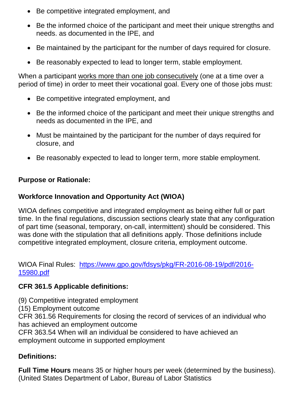- Be competitive integrated employment, and
- Be the informed choice of the participant and meet their unique strengths and needs. as documented in the IPE, and
- Be maintained by the participant for the number of days required for closure.
- Be reasonably expected to lead to longer term, stable employment.

When a participant works more than one job consecutively (one at a time over a period of time) in order to meet their vocational goal. Every one of those jobs must:

- Be competitive integrated employment, and
- Be the informed choice of the participant and meet their unique strengths and needs as documented in the IPE, and
- Must be maintained by the participant for the number of days required for closure, and
- Be reasonably expected to lead to longer term, more stable employment.

# **Purpose or Rationale:**

# **Workforce Innovation and Opportunity Act (WIOA)**

WIOA defines competitive and integrated employment as being either full or part time. In the final regulations, discussion sections clearly state that any configuration of part time (seasonal, temporary, on-call, intermittent) should be considered. This was done with the stipulation that all definitions apply. Those definitions include competitive integrated employment, closure criteria, employment outcome.

WIOA Final Rules: https://www.gpo.gov/fdsys/pkg/FR-2016-08-19/pdf/2016- 15980.pdf

# **CFR 361.5 Applicable definitions:**

(9) Competitive integrated employment

(15) Employment outcome

CFR 361.56 Requirements for closing the record of services of an individual who has achieved an employment outcome

CFR 363.54 When will an individual be considered to have achieved an employment outcome in supported employment

# **Definitions:**

**Full Time Hours** means 35 or higher hours per week (determined by the business). (United States Department of Labor, Bureau of Labor Statistics